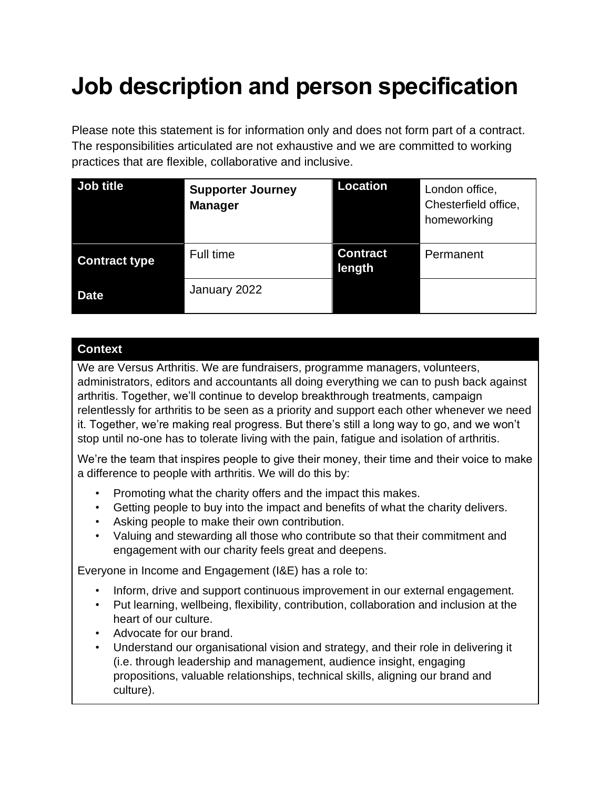# **Job description and person specification**

Please note this statement is for information only and does not form part of a contract. The responsibilities articulated are not exhaustive and we are committed to working practices that are flexible, collaborative and inclusive.

| Job title            | <b>Supporter Journey</b><br><b>Manager</b> | <b>Location</b>           | London office,<br>Chesterfield office,<br>homeworking |
|----------------------|--------------------------------------------|---------------------------|-------------------------------------------------------|
| <b>Contract type</b> | Full time                                  | <b>Contract</b><br>length | Permanent                                             |
| <b>Date</b>          | January 2022                               |                           |                                                       |

### **Context**

We are Versus Arthritis. We are fundraisers, programme managers, volunteers, administrators, editors and accountants all doing everything we can to push back against arthritis. Together, we'll continue to develop breakthrough treatments, campaign relentlessly for arthritis to be seen as a priority and support each other whenever we need it. Together, we're making real progress. But there's still a long way to go, and we won't stop until no-one has to tolerate living with the pain, fatigue and isolation of arthritis.

We're the team that inspires people to give their money, their time and their voice to make a difference to people with arthritis. We will do this by:

- Promoting what the charity offers and the impact this makes.
- Getting people to buy into the impact and benefits of what the charity delivers.
- Asking people to make their own contribution.
- Valuing and stewarding all those who contribute so that their commitment and engagement with our charity feels great and deepens.

Everyone in Income and Engagement (I&E) has a role to:

- Inform, drive and support continuous improvement in our external engagement.
- Put learning, wellbeing, flexibility, contribution, collaboration and inclusion at the heart of our culture.
- Advocate for our brand.
- Understand our organisational vision and strategy, and their role in delivering it (i.e. through leadership and management, audience insight, engaging propositions, valuable relationships, technical skills, aligning our brand and culture).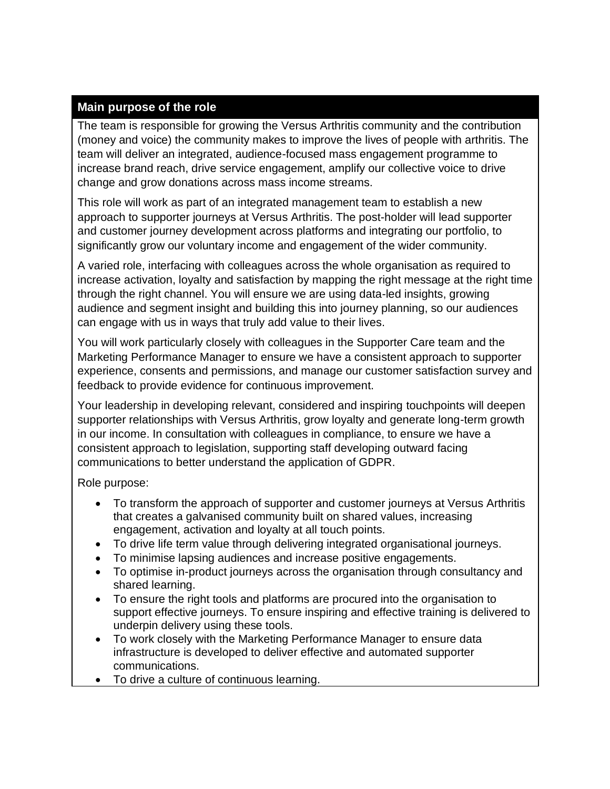#### **Main purpose of the role**

The team is responsible for growing the Versus Arthritis community and the contribution (money and voice) the community makes to improve the lives of people with arthritis. The team will deliver an integrated, audience-focused mass engagement programme to increase brand reach, drive service engagement, amplify our collective voice to drive change and grow donations across mass income streams.

This role will work as part of an integrated management team to establish a new approach to supporter journeys at Versus Arthritis. The post-holder will lead supporter and customer journey development across platforms and integrating our portfolio, to significantly grow our voluntary income and engagement of the wider community.

A varied role, interfacing with colleagues across the whole organisation as required to increase activation, loyalty and satisfaction by mapping the right message at the right time through the right channel. You will ensure we are using data-led insights, growing audience and segment insight and building this into journey planning, so our audiences can engage with us in ways that truly add value to their lives.

You will work particularly closely with colleagues in the Supporter Care team and the Marketing Performance Manager to ensure we have a consistent approach to supporter experience, consents and permissions, and manage our customer satisfaction survey and feedback to provide evidence for continuous improvement.

Your leadership in developing relevant, considered and inspiring touchpoints will deepen supporter relationships with Versus Arthritis, grow loyalty and generate long-term growth in our income. In consultation with colleagues in compliance, to ensure we have a consistent approach to legislation, supporting staff developing outward facing communications to better understand the application of GDPR.

Role purpose:

- To transform the approach of supporter and customer journeys at Versus Arthritis that creates a galvanised community built on shared values, increasing engagement, activation and loyalty at all touch points.
- To drive life term value through delivering integrated organisational journeys.
- To minimise lapsing audiences and increase positive engagements.
- To optimise in-product journeys across the organisation through consultancy and shared learning.
- To ensure the right tools and platforms are procured into the organisation to support effective journeys. To ensure inspiring and effective training is delivered to underpin delivery using these tools.
- To work closely with the Marketing Performance Manager to ensure data infrastructure is developed to deliver effective and automated supporter communications.
- To drive a culture of continuous learning.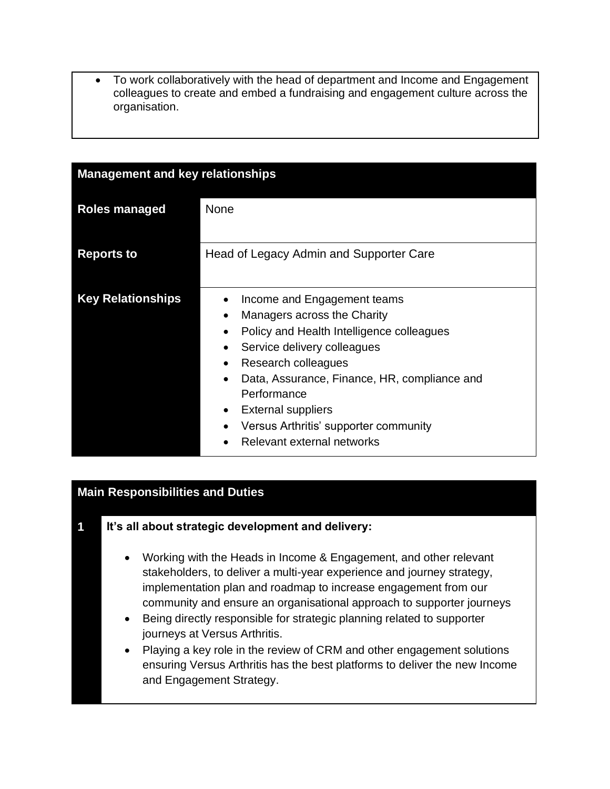• To work collaboratively with the head of department and Income and Engagement colleagues to create and embed a fundraising and engagement culture across the organisation.

| <b>Management and key relationships</b> |                                                                                                                                                                                                                                                                                                                                                                                                                                  |  |
|-----------------------------------------|----------------------------------------------------------------------------------------------------------------------------------------------------------------------------------------------------------------------------------------------------------------------------------------------------------------------------------------------------------------------------------------------------------------------------------|--|
| <b>Roles managed</b>                    | <b>None</b>                                                                                                                                                                                                                                                                                                                                                                                                                      |  |
| <b>Reports to</b>                       | Head of Legacy Admin and Supporter Care                                                                                                                                                                                                                                                                                                                                                                                          |  |
| <b>Key Relationships</b>                | Income and Engagement teams<br>Managers across the Charity<br>$\bullet$<br>Policy and Health Intelligence colleagues<br>$\bullet$<br>Service delivery colleagues<br>٠<br>Research colleagues<br>$\bullet$<br>Data, Assurance, Finance, HR, compliance and<br>$\bullet$<br>Performance<br><b>External suppliers</b><br>$\bullet$<br>Versus Arthritis' supporter community<br>$\bullet$<br>Relevant external networks<br>$\bullet$ |  |

#### **Main Responsibilities and Duties**

- **1 It's all about strategic development and delivery:**
	- Working with the Heads in Income & Engagement, and other relevant stakeholders, to deliver a multi-year experience and journey strategy, implementation plan and roadmap to increase engagement from our community and ensure an organisational approach to supporter journeys
	- Being directly responsible for strategic planning related to supporter journeys at Versus Arthritis.
	- Playing a key role in the review of CRM and other engagement solutions ensuring Versus Arthritis has the best platforms to deliver the new Income and Engagement Strategy.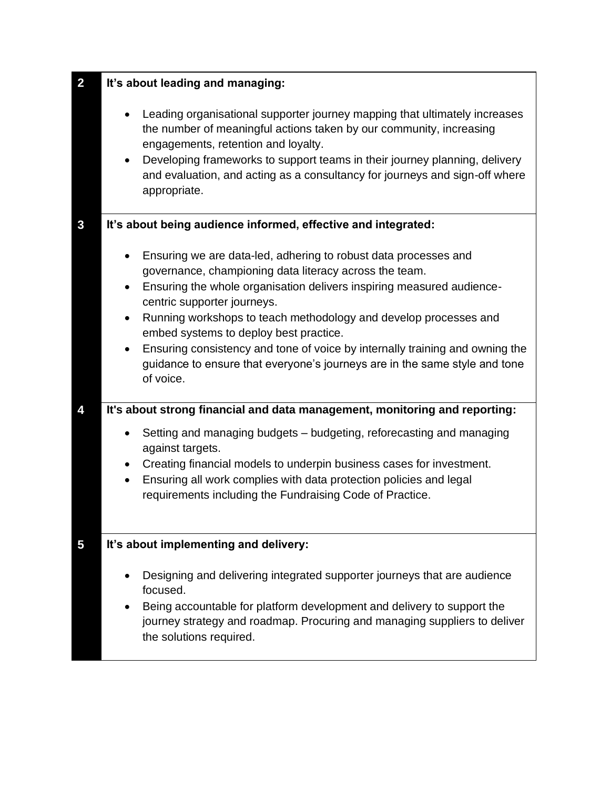| $\overline{\mathbf{2}}$ | It's about leading and managing:                                                                                                                                                                                                                                                                                                                                                                                                                                                                                                                                                                                                                                                                                                                                                                                                                                                                                                                                                                          |  |  |
|-------------------------|-----------------------------------------------------------------------------------------------------------------------------------------------------------------------------------------------------------------------------------------------------------------------------------------------------------------------------------------------------------------------------------------------------------------------------------------------------------------------------------------------------------------------------------------------------------------------------------------------------------------------------------------------------------------------------------------------------------------------------------------------------------------------------------------------------------------------------------------------------------------------------------------------------------------------------------------------------------------------------------------------------------|--|--|
|                         | Leading organisational supporter journey mapping that ultimately increases<br>$\bullet$<br>the number of meaningful actions taken by our community, increasing<br>engagements, retention and loyalty.<br>Developing frameworks to support teams in their journey planning, delivery<br>$\bullet$<br>and evaluation, and acting as a consultancy for journeys and sign-off where<br>appropriate.                                                                                                                                                                                                                                                                                                                                                                                                                                                                                                                                                                                                           |  |  |
| 3                       | It's about being audience informed, effective and integrated:                                                                                                                                                                                                                                                                                                                                                                                                                                                                                                                                                                                                                                                                                                                                                                                                                                                                                                                                             |  |  |
| 4                       | Ensuring we are data-led, adhering to robust data processes and<br>$\bullet$<br>governance, championing data literacy across the team.<br>Ensuring the whole organisation delivers inspiring measured audience-<br>$\bullet$<br>centric supporter journeys.<br>Running workshops to teach methodology and develop processes and<br>$\bullet$<br>embed systems to deploy best practice.<br>Ensuring consistency and tone of voice by internally training and owning the<br>$\bullet$<br>guidance to ensure that everyone's journeys are in the same style and tone<br>of voice.<br>It's about strong financial and data management, monitoring and reporting:<br>Setting and managing budgets - budgeting, reforecasting and managing<br>$\bullet$<br>against targets.<br>Creating financial models to underpin business cases for investment.<br>$\bullet$<br>Ensuring all work complies with data protection policies and legal<br>$\bullet$<br>requirements including the Fundraising Code of Practice. |  |  |
|                         |                                                                                                                                                                                                                                                                                                                                                                                                                                                                                                                                                                                                                                                                                                                                                                                                                                                                                                                                                                                                           |  |  |
| 5                       | It's about implementing and delivery:                                                                                                                                                                                                                                                                                                                                                                                                                                                                                                                                                                                                                                                                                                                                                                                                                                                                                                                                                                     |  |  |
|                         | Designing and delivering integrated supporter journeys that are audience<br>$\bullet$<br>focused.<br>Being accountable for platform development and delivery to support the<br>$\bullet$<br>journey strategy and roadmap. Procuring and managing suppliers to deliver<br>the solutions required.                                                                                                                                                                                                                                                                                                                                                                                                                                                                                                                                                                                                                                                                                                          |  |  |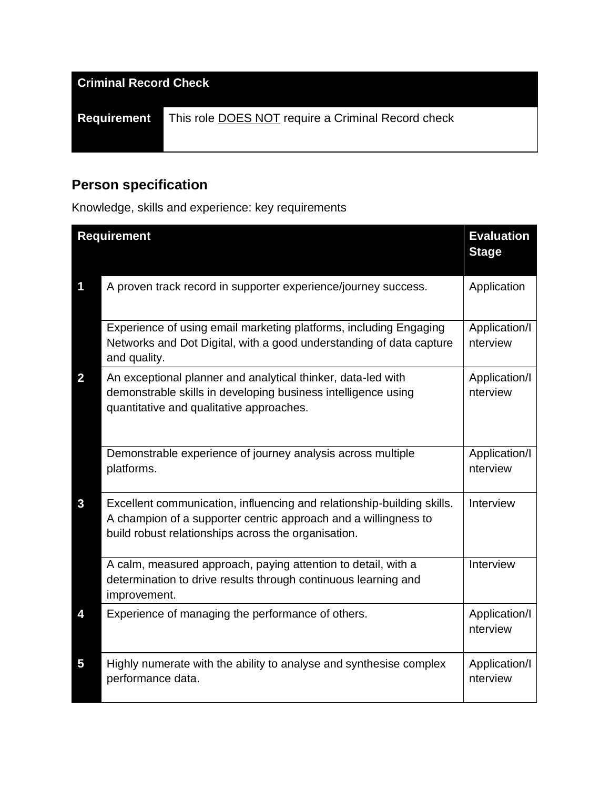| <b>Criminal Record Check</b> |                                                           |  |
|------------------------------|-----------------------------------------------------------|--|
| <b>Requirement</b>           | This role <b>DOES NOT</b> require a Criminal Record check |  |
|                              |                                                           |  |

# **Person specification**

Knowledge, skills and experience: key requirements

|                         | <b>Requirement</b>                                                                                                                                                                               |                           |
|-------------------------|--------------------------------------------------------------------------------------------------------------------------------------------------------------------------------------------------|---------------------------|
| 1                       | A proven track record in supporter experience/journey success.                                                                                                                                   | Application               |
|                         | Experience of using email marketing platforms, including Engaging<br>Networks and Dot Digital, with a good understanding of data capture<br>and quality.                                         | Application/I<br>nterview |
| $\overline{\mathbf{2}}$ | An exceptional planner and analytical thinker, data-led with<br>demonstrable skills in developing business intelligence using<br>quantitative and qualitative approaches.                        | Application/I<br>nterview |
|                         | Demonstrable experience of journey analysis across multiple<br>platforms.                                                                                                                        | Application/I<br>nterview |
| 3                       | Excellent communication, influencing and relationship-building skills.<br>A champion of a supporter centric approach and a willingness to<br>build robust relationships across the organisation. | Interview                 |
|                         | A calm, measured approach, paying attention to detail, with a<br>determination to drive results through continuous learning and<br>improvement.                                                  | Interview                 |
| 4                       | Experience of managing the performance of others.                                                                                                                                                | Application/I<br>nterview |
| 5                       | Highly numerate with the ability to analyse and synthesise complex<br>performance data.                                                                                                          | Application/I<br>nterview |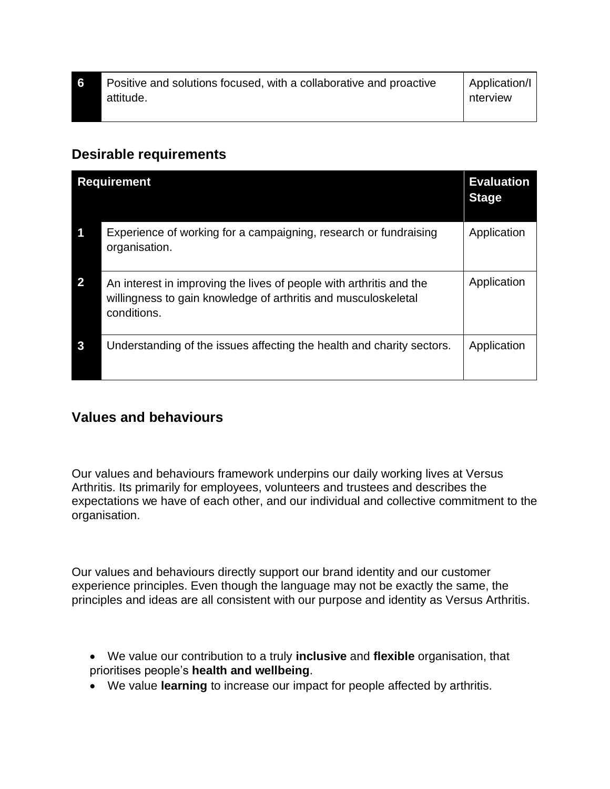| Positive and solutions focused, with a collaborative and proactive | Application/I |
|--------------------------------------------------------------------|---------------|
| attitude.                                                          | nterview      |
|                                                                    |               |

## **Desirable requirements**

|                         | <b>Requirement</b>                                                                                                                                   | <b>Evaluation</b><br><b>Stage</b> |
|-------------------------|------------------------------------------------------------------------------------------------------------------------------------------------------|-----------------------------------|
| $\overline{\mathbf{1}}$ | Experience of working for a campaigning, research or fundraising<br>organisation.                                                                    | Application                       |
| $\overline{\mathbf{2}}$ | An interest in improving the lives of people with arthritis and the<br>willingness to gain knowledge of arthritis and musculoskeletal<br>conditions. | Application                       |
| $\mathbf{3}$            | Understanding of the issues affecting the health and charity sectors.                                                                                | Application                       |

# **Values and behaviours**

Our values and behaviours framework underpins our daily working lives at Versus Arthritis. Its primarily for employees, volunteers and trustees and describes the expectations we have of each other, and our individual and collective commitment to the organisation.

Our values and behaviours directly support our brand identity and our customer experience principles. Even though the language may not be exactly the same, the principles and ideas are all consistent with our purpose and identity as Versus Arthritis.

• We value our contribution to a truly **inclusive** and **flexible** organisation, that prioritises people's **health and wellbeing**.

• We value **learning** to increase our impact for people affected by arthritis.